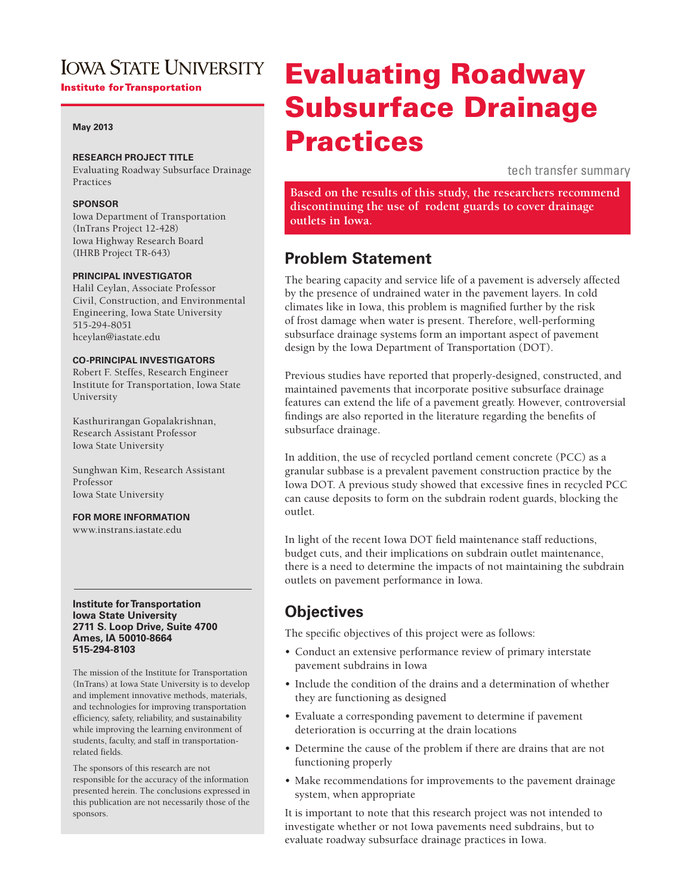## **IOWA STATE UNIVERSITY Institute for Transportation**

### **May 2013**

## **RESEARCH PROJECT TITLE**

Evaluating Roadway Subsurface Drainage Practices

## **SPONSOR**

Iowa Department of Transportation (InTrans Project 12-428) Iowa Highway Research Board (IHRB Project TR-643)

## **PRINCIPAL INVESTIGATOR**

Halil Ceylan, Associate Professor Civil, Construction, and Environmental Engineering, Iowa State University 515-294-8051 hceylan@iastate.edu

### **CO-PRINCIPAL INVESTIGATORS**

Robert F. Steffes, Research Engineer Institute for Transportation, Iowa State University

Kasthurirangan Gopalakrishnan, Research Assistant Professor Iowa State University

Sunghwan Kim, Research Assistant Professor Iowa State University

**FOR MORE INFORMATION**

www.instrans.iastate.edu

#### **Institute for Transportation Iowa State University 2711 S. Loop Drive, Suite 4700 Ames, IA 50010-8664 515-294-8103**

The mission of the Institute for Transportation (InTrans) at Iowa State University is to develop and implement innovative methods, materials, and technologies for improving transportation efficiency, safety, reliability, and sustainability while improving the learning environment of students, faculty, and staff in transportationrelated fields.

The sponsors of this research are not responsible for the accuracy of the information presented herein. The conclusions expressed in this publication are not necessarily those of the sponsors.

# Evaluating Roadway Subsurface Drainage Practices

tech transfer summary

**Based on the results of this study, the researchers recommend discontinuing the use of rodent guards to cover drainage outlets in Iowa.**

## **Problem Statement**

The bearing capacity and service life of a pavement is adversely affected by the presence of undrained water in the pavement layers. In cold climates like in Iowa, this problem is magnified further by the risk of frost damage when water is present. Therefore, well-performing subsurface drainage systems form an important aspect of pavement design by the Iowa Department of Transportation (DOT).

Previous studies have reported that properly-designed, constructed, and maintained pavements that incorporate positive subsurface drainage features can extend the life of a pavement greatly. However, controversial findings are also reported in the literature regarding the benefits of subsurface drainage.

In addition, the use of recycled portland cement concrete (PCC) as a granular subbase is a prevalent pavement construction practice by the Iowa DOT. A previous study showed that excessive fines in recycled PCC can cause deposits to form on the subdrain rodent guards, blocking the outlet.

In light of the recent Iowa DOT field maintenance staff reductions, budget cuts, and their implications on subdrain outlet maintenance, there is a need to determine the impacts of not maintaining the subdrain outlets on pavement performance in Iowa.

## **Objectives**

The specific objectives of this project were as follows:

- • Conduct an extensive performance review of primary interstate pavement subdrains in Iowa
- Include the condition of the drains and a determination of whether they are functioning as designed
- Evaluate a corresponding pavement to determine if pavement deterioration is occurring at the drain locations
- Determine the cause of the problem if there are drains that are not functioning properly
- Make recommendations for improvements to the pavement drainage system, when appropriate

It is important to note that this research project was not intended to investigate whether or not Iowa pavements need subdrains, but to evaluate roadway subsurface drainage practices in Iowa.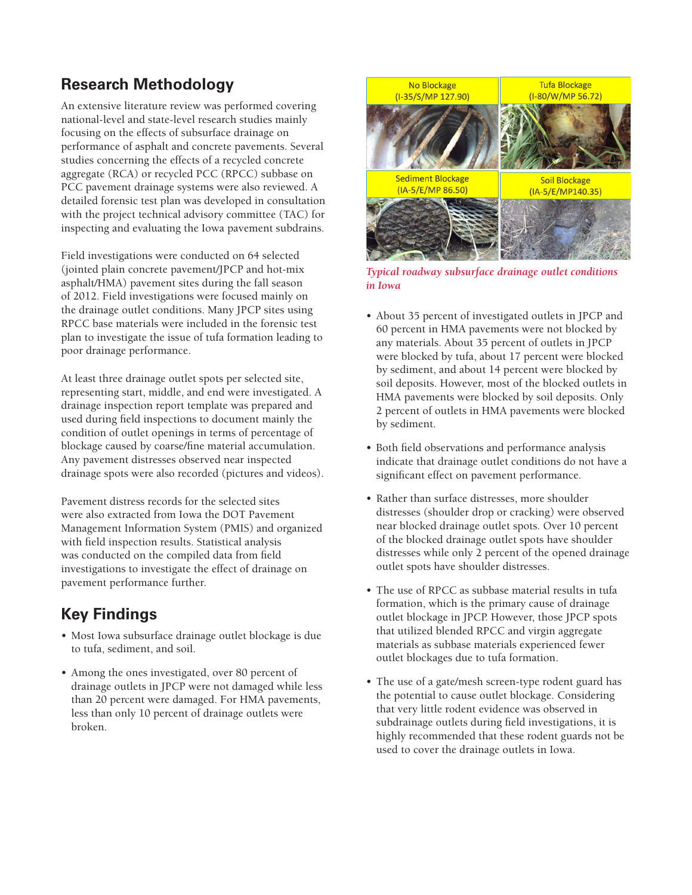# **Research Methodology**

An extensive literature review was performed covering national-level and state-level research studies mainly focusing on the effects of subsurface drainage on performance of asphalt and concrete pavements. Several studies concerning the effects of a recycled concrete aggregate (RCA) or recycled PCC (RPCC) subbase on PCC pavement drainage systems were also reviewed. A detailed forensic test plan was developed in consultation with the project technical advisory committee (TAC) for inspecting and evaluating the Iowa pavement subdrains.

Field investigations were conducted on 64 selected (jointed plain concrete pavement/JPCP and hot-mix asphalt/HMA) pavement sites during the fall season of 2012. Field investigations were focused mainly on the drainage outlet conditions. Many JPCP sites using RPCC base materials were included in the forensic test plan to investigate the issue of tufa formation leading to poor drainage performance.

At least three drainage outlet spots per selected site, representing start, middle, and end were investigated. A drainage inspection report template was prepared and used during field inspections to document mainly the condition of outlet openings in terms of percentage of blockage caused by coarse/fine material accumulation. Any pavement distresses observed near inspected drainage spots were also recorded (pictures and videos).

Pavement distress records for the selected sites were also extracted from Iowa the DOT Pavement Management Information System (PMIS) and organized with field inspection results. Statistical analysis was conducted on the compiled data from field investigations to investigate the effect of drainage on pavement performance further.

# **Key Findings**

- • Most Iowa subsurface drainage outlet blockage is due to tufa, sediment, and soil.
- Among the ones investigated, over 80 percent of drainage outlets in JPCP were not damaged while less than 20 percent were damaged. For HMA pavements, less than only 10 percent of drainage outlets were broken.



*Typical roadway subsurface drainage outlet conditions in Iowa*

- • About 35 percent of investigated outlets in JPCP and 60 percent in HMA pavements were not blocked by any materials. About 35 percent of outlets in JPCP were blocked by tufa, about 17 percent were blocked by sediment, and about 14 percent were blocked by soil deposits. However, most of the blocked outlets in HMA pavements were blocked by soil deposits. Only 2 percent of outlets in HMA pavements were blocked by sediment.
- • Both field observations and performance analysis indicate that drainage outlet conditions do not have a significant effect on pavement performance.
- Rather than surface distresses, more shoulder distresses (shoulder drop or cracking) were observed near blocked drainage outlet spots. Over 10 percent of the blocked drainage outlet spots have shoulder distresses while only 2 percent of the opened drainage outlet spots have shoulder distresses.
- The use of RPCC as subbase material results in tufa formation, which is the primary cause of drainage outlet blockage in JPCP. However, those JPCP spots that utilized blended RPCC and virgin aggregate materials as subbase materials experienced fewer outlet blockages due to tufa formation.
- The use of a gate/mesh screen-type rodent guard has the potential to cause outlet blockage. Considering that very little rodent evidence was observed in subdrainage outlets during field investigations, it is highly recommended that these rodent guards not be used to cover the drainage outlets in Iowa.